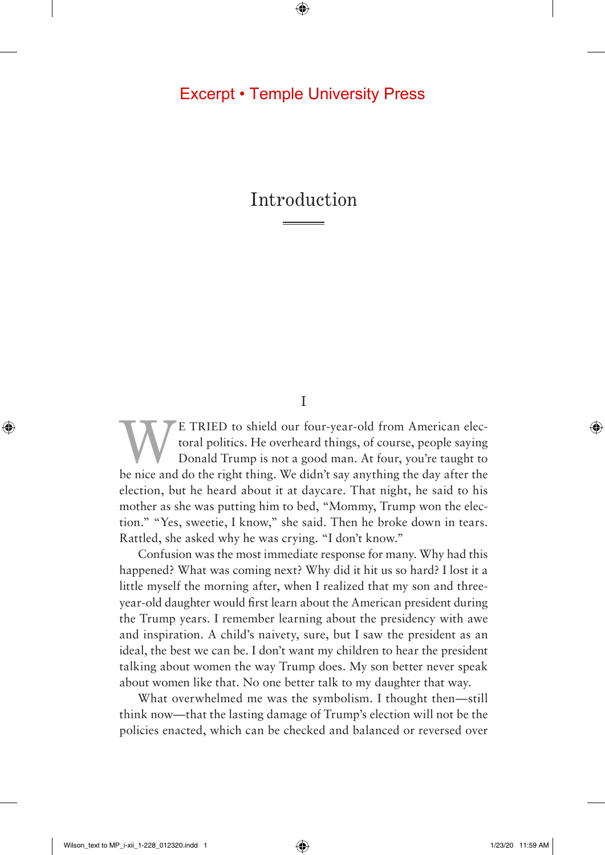#### Excerpt • Temple University Press

 $\bigoplus$ 

# Introduction

#### I

E TRIED to shield our four-year-old from American electoral politics. He overheard things, of course, people saying<br>Donald Trump is not a good man. At four, you're taught to<br>be nice and do the right thing. We didn't say ap toral politics. He overheard things, of course, people saying Donald Trump is not a good man. At four, you're taught to be nice and do the right thing. We didn't say anything the day after the election, but he heard about it at daycare. That night, he said to his mother as she was putting him to bed, "Mommy, Trump won the election." "Yes, sweetie, I know," she said. Then he broke down in tears. Rattled, she asked why he was crying. "I don't know."

Confusion was the most immediate response for many. Why had this happened? What was coming next? Why did it hit us so hard? I lost it a little myself the morning after, when I realized that my son and threeyear-old daughter would first learn about the American president during the Trump years. I remember learning about the presidency with awe and inspiration. A child's naivety, sure, but I saw the president as an ideal, the best we can be. I don't want my children to hear the president talking about women the way Trump does. My son better never speak about women like that. No one better talk to my daughter that way.

What overwhelmed me was the symbolism. I thought then—still think now—that the lasting damage of Trump's election will not be the policies enacted, which can be checked and balanced or reversed over

⊕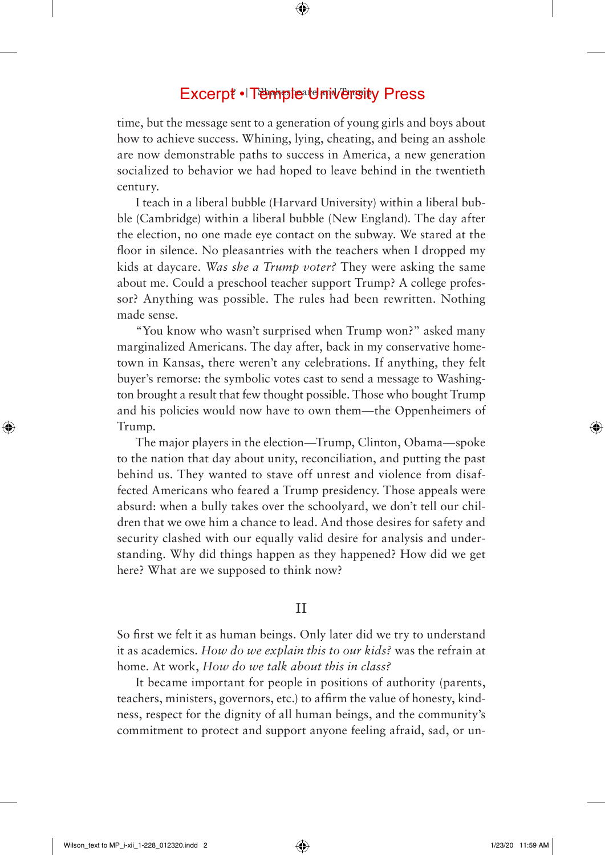### **Excerpt • T<del>ërn</del>ple te niversity Press**

⊕

time, but the message sent to a generation of young girls and boys about how to achieve success. Whining, lying, cheating, and being an asshole are now demonstrable paths to success in America, a new generation socialized to behavior we had hoped to leave behind in the twentieth century.

I teach in a liberal bubble (Harvard University) within a liberal bubble (Cambridge) within a liberal bubble (New England). The day after the election, no one made eye contact on the subway. We stared at the floor in silence. No pleasantries with the teachers when I dropped my kids at daycare. *Was she a Trump voter?* They were asking the same about me. Could a preschool teacher support Trump? A college professor? Anything was possible. The rules had been rewritten. Nothing made sense.

"You know who wasn't surprised when Trump won?" asked many marginalized Americans. The day after, back in my conservative hometown in Kansas, there weren't any celebrations. If anything, they felt buyer's remorse: the symbolic votes cast to send a message to Washington brought a result that few thought possible. Those who bought Trump and his policies would now have to own them—the Oppenheimers of Trump.

The major players in the election—Trump, Clinton, Obama—spoke to the nation that day about unity, reconciliation, and putting the past behind us. They wanted to stave off unrest and violence from disaffected Americans who feared a Trump presidency. Those appeals were absurd: when a bully takes over the schoolyard, we don't tell our children that we owe him a chance to lead. And those desires for safety and security clashed with our equally valid desire for analysis and understanding. Why did things happen as they happened? How did we get here? What are we supposed to think now?

#### II

So first we felt it as human beings. Only later did we try to understand it as academics. *How do we explain this to our kids?* was the refrain at home. At work, *How do we talk about this in class?*

It became important for people in positions of authority (parents, teachers, ministers, governors, etc.) to affirm the value of honesty, kindness, respect for the dignity of all human beings, and the community's commitment to protect and support anyone feeling afraid, sad, or un-

⊕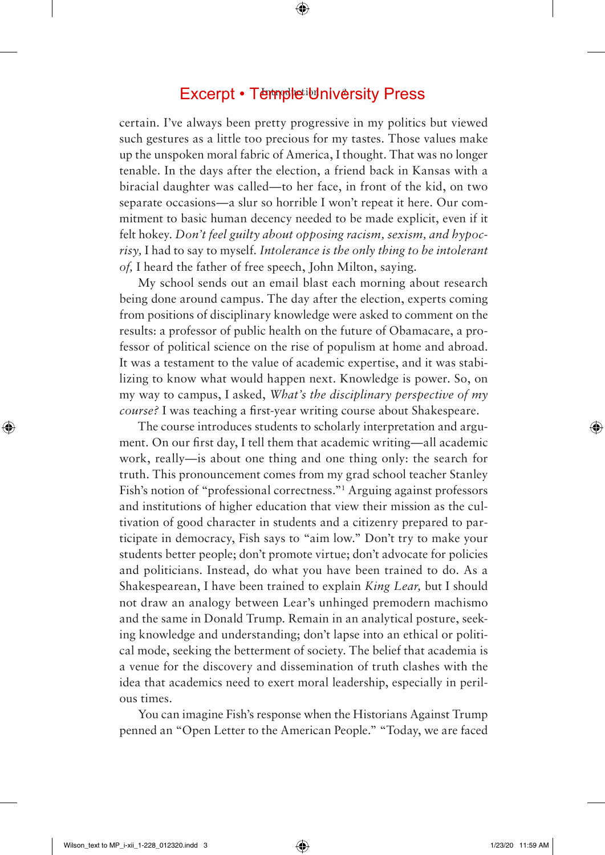⊕

certain. I've always been pretty progressive in my politics but viewed such gestures as a little too precious for my tastes. Those values make up the unspoken moral fabric of America, I thought. That was no longer tenable. In the days after the election, a friend back in Kansas with a biracial daughter was called—to her face, in front of the kid, on two separate occasions—a slur so horrible I won't repeat it here. Our commitment to basic human decency needed to be made explicit, even if it felt hokey. *Don't feel guilty about opposing racism, sexism, and hypocrisy,* I had to say to myself. *Intolerance is the only thing to be intolerant of,* I heard the father of free speech, John Milton, saying.

My school sends out an email blast each morning about research being done around campus. The day after the election, experts coming from positions of disciplinary knowledge were asked to comment on the results: a professor of public health on the future of Obamacare, a professor of political science on the rise of populism at home and abroad. It was a testament to the value of academic expertise, and it was stabilizing to know what would happen next. Knowledge is power. So, on my way to campus, I asked, *What's the disciplinary perspective of my course?* I was teaching a first-year writing course about Shakespeare.

The course introduces students to scholarly interpretation and argument. On our first day, I tell them that academic writing—all academic work, really—is about one thing and one thing only: the search for truth. This pronouncement comes from my grad school teacher Stanley Fish's notion of "professional correctness."1 Arguing against professors and institutions of higher education that view their mission as the cultivation of good character in students and a citizenry prepared to participate in democracy, Fish says to "aim low." Don't try to make your students better people; don't promote virtue; don't advocate for policies and politicians. Instead, do what you have been trained to do. As a Shakespearean, I have been trained to explain *King Lear,* but I should not draw an analogy between Lear's unhinged premodern machismo and the same in Donald Trump. Remain in an analytical posture, seeking knowledge and understanding; don't lapse into an ethical or political mode, seeking the betterment of society. The belief that academia is a venue for the discovery and dissemination of truth clashes with the idea that academics need to exert moral leadership, especially in perilous times.

You can imagine Fish's response when the Historians Against Trump penned an "Open Letter to the American People." "Today, we are faced

⊕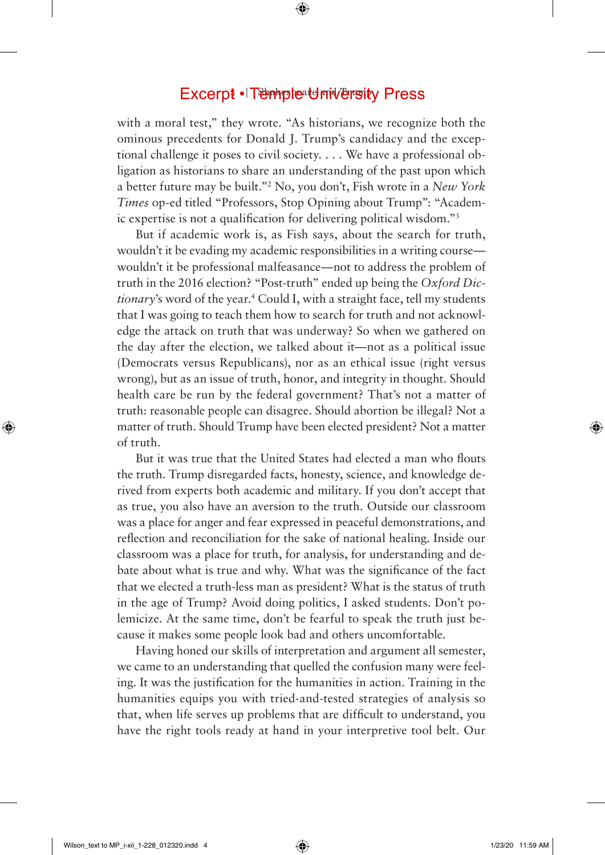### **Excerpt • T<del>ërn</del>ple te niversity Press**

⊕

with a moral test," they wrote. "As historians, we recognize both the ominous precedents for Donald J. Trump's candidacy and the exceptional challenge it poses to civil society. . . . We have a professional obligation as historians to share an understanding of the past upon which a better future may be built."2 No, you don't, Fish wrote in a *New York Times* op-ed titled "Professors, Stop Opining about Trump": "Academic expertise is not a qualification for delivering political wisdom."3

But if academic work is, as Fish says, about the search for truth, wouldn't it be evading my academic responsibilities in a writing course wouldn't it be professional malfeasance—not to address the problem of truth in the 2016 election? "Post-truth" ended up being the *Oxford Dictionary*'s word of the year.4 Could I, with a straight face, tell my students that I was going to teach them how to search for truth and not acknowledge the attack on truth that was underway? So when we gathered on the day after the election, we talked about it—not as a political issue (Democrats versus Republicans), nor as an ethical issue (right versus wrong), but as an issue of truth, honor, and integrity in thought. Should health care be run by the federal government? That's not a matter of truth: reasonable people can disagree. Should abortion be illegal? Not a matter of truth. Should Trump have been elected president? Not a matter of truth.

But it was true that the United States had elected a man who flouts the truth. Trump disregarded facts, honesty, science, and knowledge derived from experts both academic and military. If you don't accept that as true, you also have an aversion to the truth. Outside our classroom was a place for anger and fear expressed in peaceful demonstrations, and reflection and reconciliation for the sake of national healing. Inside our classroom was a place for truth, for analysis, for understanding and debate about what is true and why. What was the significance of the fact that we elected a truth-less man as president? What is the status of truth in the age of Trump? Avoid doing politics, I asked students. Don't polemicize. At the same time, don't be fearful to speak the truth just because it makes some people look bad and others uncomfortable.

Having honed our skills of interpretation and argument all semester, we came to an understanding that quelled the confusion many were feeling. It was the justification for the humanities in action. Training in the humanities equips you with tried-and-tested strategies of analysis so that, when life serves up problems that are difficult to understand, you have the right tools ready at hand in your interpretive tool belt. Our

⊕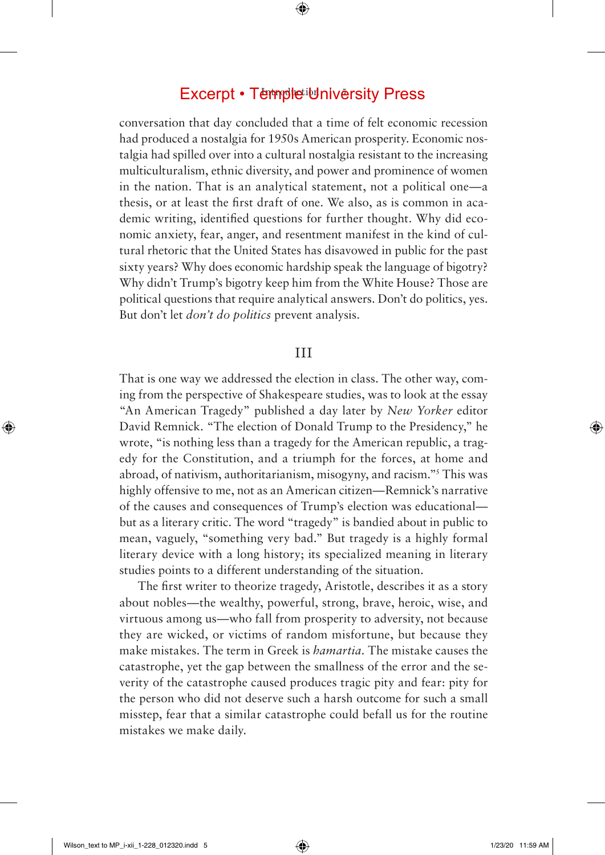$\bigoplus$ 

conversation that day concluded that a time of felt economic recession had produced a nostalgia for 1950s American prosperity. Economic nostalgia had spilled over into a cultural nostalgia resistant to the increasing multiculturalism, ethnic diversity, and power and prominence of women in the nation. That is an analytical statement, not a political one—a thesis, or at least the first draft of one. We also, as is common in academic writing, identified questions for further thought. Why did economic anxiety, fear, anger, and resentment manifest in the kind of cultural rhetoric that the United States has disavowed in public for the past sixty years? Why does economic hardship speak the language of bigotry? Why didn't Trump's bigotry keep him from the White House? Those are political questions that require analytical answers. Don't do politics, yes. But don't let *don't do politics* prevent analysis.

#### III

That is one way we addressed the election in class. The other way, coming from the perspective of Shakespeare studies, was to look at the essay "An American Tragedy" published a day later by *New Yorker* editor David Remnick. "The election of Donald Trump to the Presidency," he wrote, "is nothing less than a tragedy for the American republic, a tragedy for the Constitution, and a triumph for the forces, at home and abroad, of nativism, authoritarianism, misogyny, and racism."5 This was highly offensive to me, not as an American citizen—Remnick's narrative of the causes and consequences of Trump's election was educational but as a literary critic. The word "tragedy" is bandied about in public to mean, vaguely, "something very bad." But tragedy is a highly formal literary device with a long history; its specialized meaning in literary studies points to a different understanding of the situation.

The first writer to theorize tragedy, Aristotle, describes it as a story about nobles—the wealthy, powerful, strong, brave, heroic, wise, and virtuous among us—who fall from prosperity to adversity, not because they are wicked, or victims of random misfortune, but because they make mistakes. The term in Greek is *hamartia.* The mistake causes the catastrophe, yet the gap between the smallness of the error and the severity of the catastrophe caused produces tragic pity and fear: pity for the person who did not deserve such a harsh outcome for such a small misstep, fear that a similar catastrophe could befall us for the routine mistakes we make daily.

⊕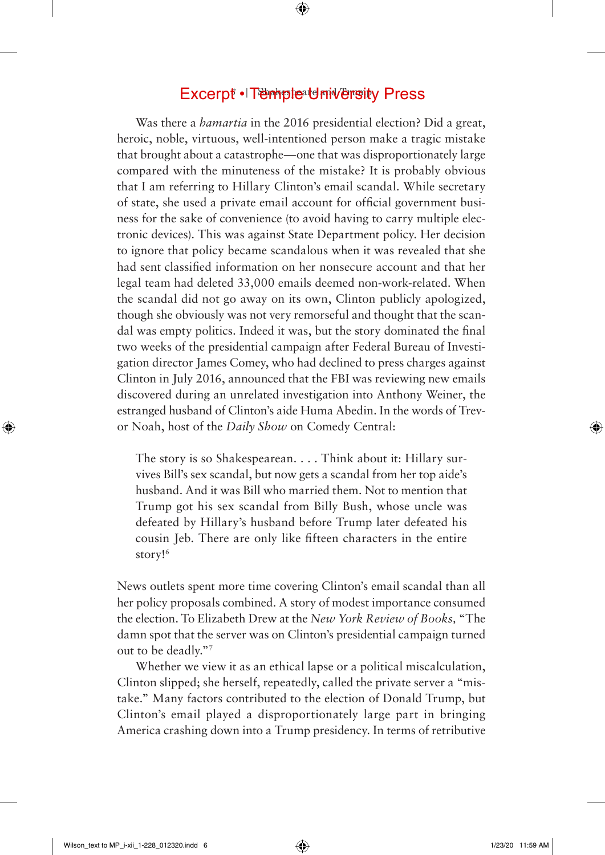## Excerpt • T<del>ërnple de nivers</del>ity Press

 $\bigoplus$ 

Was there a *hamartia* in the 2016 presidential election? Did a great, heroic, noble, virtuous, well-intentioned person make a tragic mistake that brought about a catastrophe—one that was disproportionately large compared with the minuteness of the mistake? It is probably obvious that I am referring to Hillary Clinton's email scandal. While secretary of state, she used a private email account for official government business for the sake of convenience (to avoid having to carry multiple electronic devices). This was against State Department policy. Her decision to ignore that policy became scandalous when it was revealed that she had sent classified information on her nonsecure account and that her legal team had deleted 33,000 emails deemed non-work-related. When the scandal did not go away on its own, Clinton publicly apologized, though she obviously was not very remorseful and thought that the scandal was empty politics. Indeed it was, but the story dominated the final two weeks of the presidential campaign after Federal Bureau of Investigation director James Comey, who had declined to press charges against Clinton in July 2016, announced that the FBI was reviewing new emails discovered during an unrelated investigation into Anthony Weiner, the estranged husband of Clinton's aide Huma Abedin. In the words of Trevor Noah, host of the *Daily Show* on Comedy Central:

The story is so Shakespearean. . . . Think about it: Hillary survives Bill's sex scandal, but now gets a scandal from her top aide's husband. And it was Bill who married them. Not to mention that Trump got his sex scandal from Billy Bush, whose uncle was defeated by Hillary's husband before Trump later defeated his cousin Jeb. There are only like fifteen characters in the entire story!6

News outlets spent more time covering Clinton's email scandal than all her policy proposals combined. A story of modest importance consumed the election. To Elizabeth Drew at the *New York Review of Books,* "The damn spot that the server was on Clinton's presidential campaign turned out to be deadly."7

Whether we view it as an ethical lapse or a political miscalculation, Clinton slipped; she herself, repeatedly, called the private server a "mistake." Many factors contributed to the election of Donald Trump, but Clinton's email played a disproportionately large part in bringing America crashing down into a Trump presidency. In terms of retributive

⊕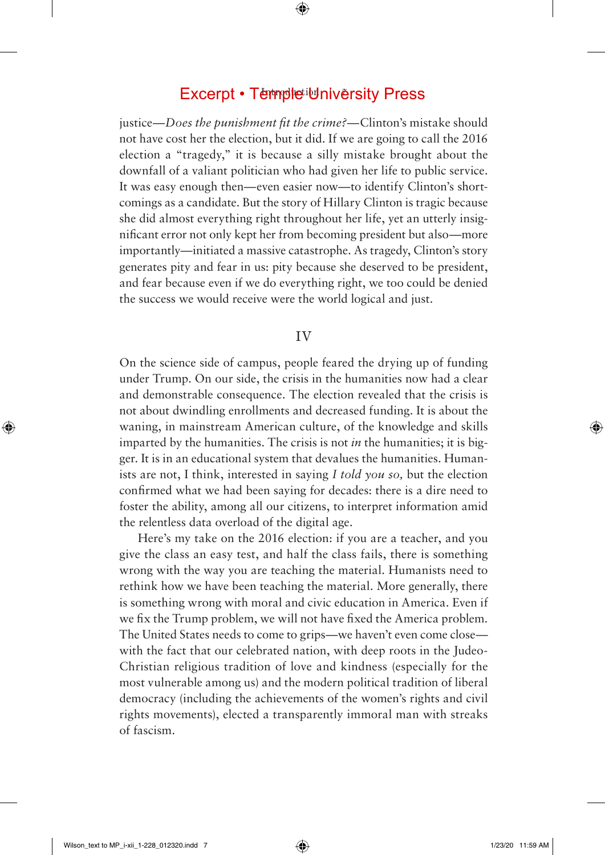$\bigoplus$ 

justice—*Does the punishment fit the crime?*—Clinton's mistake should not have cost her the election, but it did. If we are going to call the 2016 election a "tragedy," it is because a silly mistake brought about the downfall of a valiant politician who had given her life to public service. It was easy enough then—even easier now—to identify Clinton's shortcomings as a candidate. But the story of Hillary Clinton is tragic because she did almost everything right throughout her life, yet an utterly insignificant error not only kept her from becoming president but also—more importantly—initiated a massive catastrophe. As tragedy, Clinton's story generates pity and fear in us: pity because she deserved to be president, and fear because even if we do everything right, we too could be denied the success we would receive were the world logical and just.

#### IV

On the science side of campus, people feared the drying up of funding under Trump. On our side, the crisis in the humanities now had a clear and demonstrable consequence. The election revealed that the crisis is not about dwindling enrollments and decreased funding. It is about the waning, in mainstream American culture, of the knowledge and skills imparted by the humanities. The crisis is not *in* the humanities; it is bigger. It is in an educational system that devalues the humanities. Humanists are not, I think, interested in saying *I told you so,* but the election confirmed what we had been saying for decades: there is a dire need to foster the ability, among all our citizens, to interpret information amid the relentless data overload of the digital age.

Here's my take on the 2016 election: if you are a teacher, and you give the class an easy test, and half the class fails, there is something wrong with the way you are teaching the material. Humanists need to rethink how we have been teaching the material. More generally, there is something wrong with moral and civic education in America. Even if we fix the Trump problem, we will not have fixed the America problem. The United States needs to come to grips—we haven't even come close with the fact that our celebrated nation, with deep roots in the Judeo-Christian religious tradition of love and kindness (especially for the most vulnerable among us) and the modern political tradition of liberal democracy (including the achievements of the women's rights and civil rights movements), elected a transparently immoral man with streaks of fascism.

⊕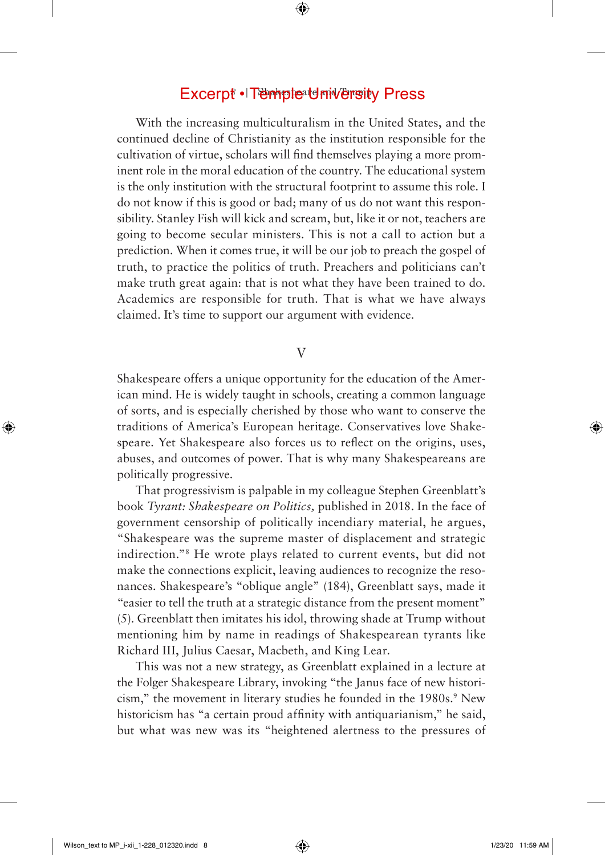## **Excerpt • T<del>ërn</del>ple te niversity Press**

 $\bigoplus$ 

With the increasing multiculturalism in the United States, and the continued decline of Christianity as the institution responsible for the cultivation of virtue, scholars will find themselves playing a more prominent role in the moral education of the country. The educational system is the only institution with the structural footprint to assume this role. I do not know if this is good or bad; many of us do not want this responsibility. Stanley Fish will kick and scream, but, like it or not, teachers are going to become secular ministers. This is not a call to action but a prediction. When it comes true, it will be our job to preach the gospel of truth, to practice the politics of truth. Preachers and politicians can't make truth great again: that is not what they have been trained to do. Academics are responsible for truth. That is what we have always claimed. It's time to support our argument with evidence.

V

Shakespeare offers a unique opportunity for the education of the American mind. He is widely taught in schools, creating a common language of sorts, and is especially cherished by those who want to conserve the traditions of America's European heritage. Conservatives love Shakespeare. Yet Shakespeare also forces us to reflect on the origins, uses, abuses, and outcomes of power. That is why many Shakespeareans are politically progressive.

That progressivism is palpable in my colleague Stephen Greenblatt's book *Tyrant: Shakespeare on Politics,* published in 2018. In the face of government censorship of politically incendiary material, he argues, "Shakespeare was the supreme master of displacement and strategic indirection."8 He wrote plays related to current events, but did not make the connections explicit, leaving audiences to recognize the resonances. Shakespeare's "oblique angle" (184), Greenblatt says, made it "easier to tell the truth at a strategic distance from the present moment" (5). Greenblatt then imitates his idol, throwing shade at Trump without mentioning him by name in readings of Shakespearean tyrants like Richard III, Julius Caesar, Macbeth, and King Lear.

This was not a new strategy, as Greenblatt explained in a lecture at the Folger Shakespeare Library, invoking "the Janus face of new historicism," the movement in literary studies he founded in the 1980s.<sup>9</sup> New historicism has "a certain proud affinity with antiquarianism," he said, but what was new was its "heightened alertness to the pressures of

⊕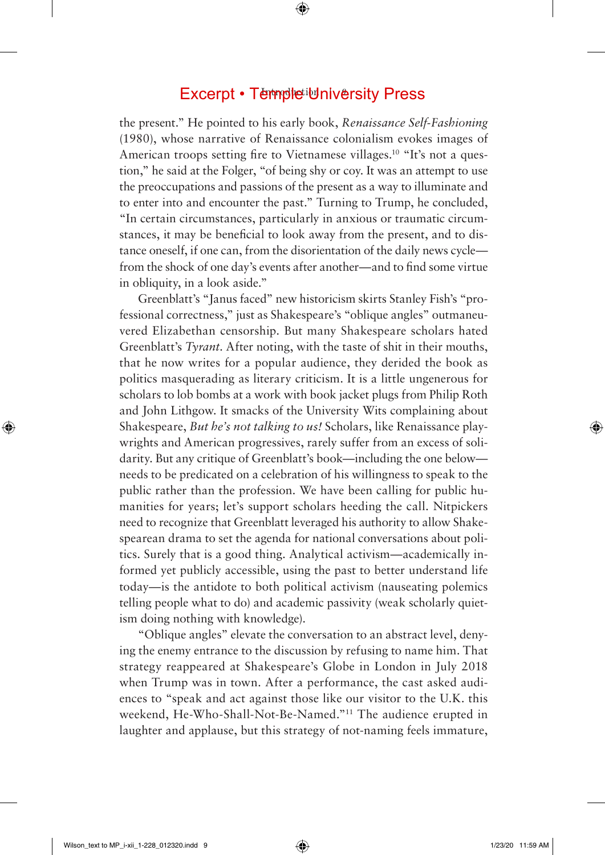$\bigoplus$ 

the present." He pointed to his early book, *Renaissance Self-Fashioning* (1980), whose narrative of Renaissance colonialism evokes images of American troops setting fire to Vietnamese villages.<sup>10</sup> "It's not a question," he said at the Folger, "of being shy or coy. It was an attempt to use the preoccupations and passions of the present as a way to illuminate and to enter into and encounter the past." Turning to Trump, he concluded, "In certain circumstances, particularly in anxious or traumatic circumstances, it may be beneficial to look away from the present, and to distance oneself, if one can, from the disorientation of the daily news cycle from the shock of one day's events after another—and to find some virtue in obliquity, in a look aside."

Greenblatt's "Janus faced" new historicism skirts Stanley Fish's "professional correctness," just as Shakespeare's "oblique angles" outmaneuvered Elizabethan censorship. But many Shakespeare scholars hated Greenblatt's *Tyrant*. After noting, with the taste of shit in their mouths, that he now writes for a popular audience, they derided the book as politics masquerading as literary criticism. It is a little ungenerous for scholars to lob bombs at a work with book jacket plugs from Philip Roth and John Lithgow. It smacks of the University Wits complaining about Shakespeare, *But he's not talking to us!* Scholars, like Renaissance playwrights and American progressives, rarely suffer from an excess of solidarity. But any critique of Greenblatt's book—including the one below needs to be predicated on a celebration of his willingness to speak to the public rather than the profession. We have been calling for public humanities for years; let's support scholars heeding the call. Nitpickers need to recognize that Greenblatt leveraged his authority to allow Shakespearean drama to set the agenda for national conversations about politics. Surely that is a good thing. Analytical activism—academically informed yet publicly accessible, using the past to better understand life today—is the antidote to both political activism (nauseating polemics telling people what to do) and academic passivity (weak scholarly quietism doing nothing with knowledge).

"Oblique angles" elevate the conversation to an abstract level, denying the enemy entrance to the discussion by refusing to name him. That strategy reappeared at Shakespeare's Globe in London in July 2018 when Trump was in town. After a performance, the cast asked audiences to "speak and act against those like our visitor to the U.K. this weekend, He-Who-Shall-Not-Be-Named."11 The audience erupted in laughter and applause, but this strategy of not-naming feels immature,

⊕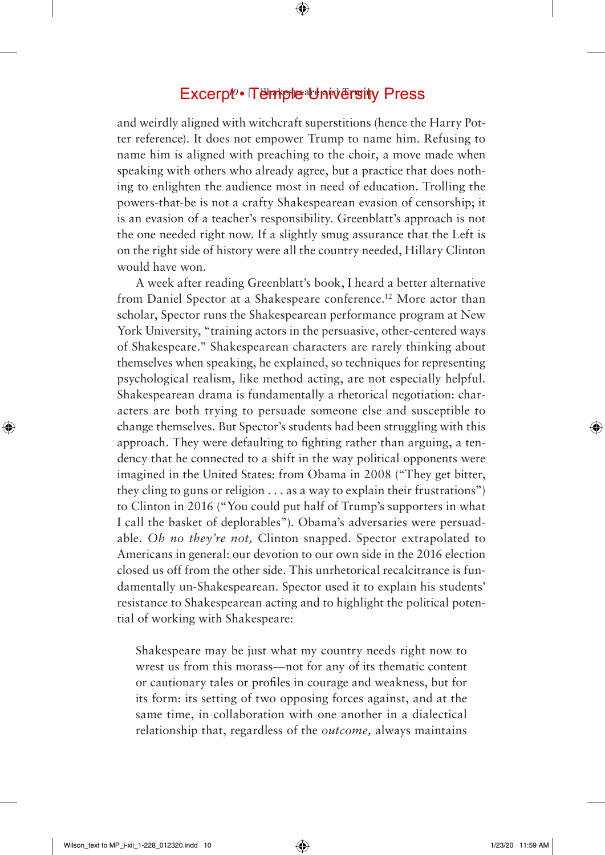### Excerpt<sup>o</sup> • T<del>ëmple</del> udniversity Press

 $\bigcirc$ 

and weirdly aligned with witchcraft superstitions (hence the Harry Potter reference). It does not empower Trump to name him. Refusing to name him is aligned with preaching to the choir, a move made when speaking with others who already agree, but a practice that does nothing to enlighten the audience most in need of education. Trolling the powers-that-be is not a crafty Shakespearean evasion of censorship; it is an evasion of a teacher's responsibility. Greenblatt's approach is not the one needed right now. If a slightly smug assurance that the Left is on the right side of history were all the country needed, Hillary Clinton would have won.

A week after reading Greenblatt's book, I heard a better alternative from Daniel Spector at a Shakespeare conference.<sup>12</sup> More actor than scholar, Spector runs the Shakespearean performance program at New York University, "training actors in the persuasive, other-centered ways of Shakespeare." Shakespearean characters are rarely thinking about themselves when speaking, he explained, so techniques for representing psychological realism, like method acting, are not especially helpful. Shakespearean drama is fundamentally a rhetorical negotiation: characters are both trying to persuade someone else and susceptible to change themselves. But Spector's students had been struggling with this approach. They were defaulting to fighting rather than arguing, a tendency that he connected to a shift in the way political opponents were imagined in the United States: from Obama in 2008 ("They get bitter, they cling to guns or religion . . . as a way to explain their frustrations") to Clinton in 2016 ("You could put half of Trump's supporters in what I call the basket of deplorables"). Obama's adversaries were persuadable. *Oh no they're not,* Clinton snapped. Spector extrapolated to Americans in general: our devotion to our own side in the 2016 election closed us off from the other side. This unrhetorical recalcitrance is fundamentally un-Shakespearean. Spector used it to explain his students' resistance to Shakespearean acting and to highlight the political potential of working with Shakespeare:

Shakespeare may be just what my country needs right now to wrest us from this morass—not for any of its thematic content or cautionary tales or profiles in courage and weakness, but for its form: its setting of two opposing forces against, and at the same time, in collaboration with one another in a dialectical relationship that, regardless of the *outcome,* always maintains

◈

◈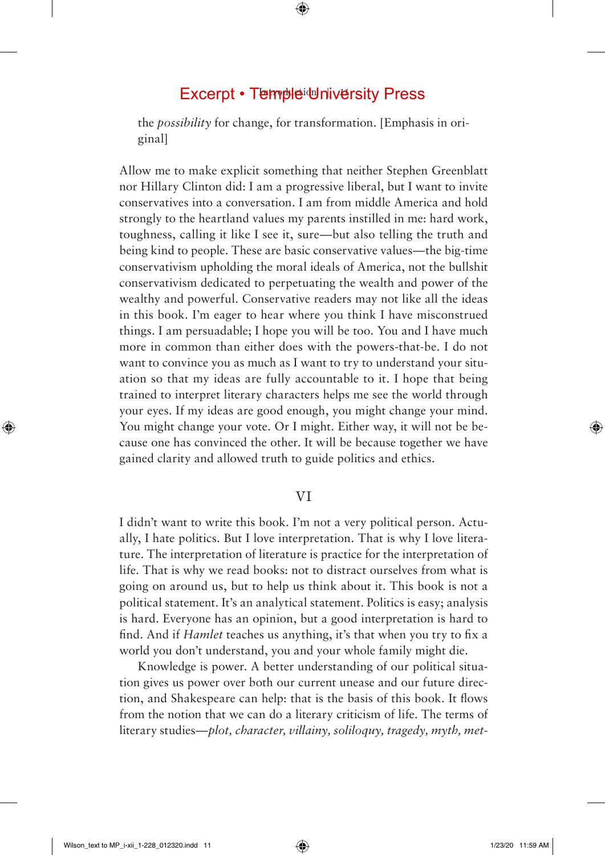# <u> Excerpt • Templeվաniversity Press</u>

 $\bigoplus$ 

the *possibility* for change, for transformation. [Emphasis in original]

Allow me to make explicit something that neither Stephen Greenblatt nor Hillary Clinton did: I am a progressive liberal, but I want to invite conservatives into a conversation. I am from middle America and hold strongly to the heartland values my parents instilled in me: hard work, toughness, calling it like I see it, sure—but also telling the truth and being kind to people. These are basic conservative values—the big-time conservativism upholding the moral ideals of America, not the bullshit conservativism dedicated to perpetuating the wealth and power of the wealthy and powerful. Conservative readers may not like all the ideas in this book. I'm eager to hear where you think I have misconstrued things. I am persuadable; I hope you will be too. You and I have much more in common than either does with the powers-that-be. I do not want to convince you as much as I want to try to understand your situation so that my ideas are fully accountable to it. I hope that being trained to interpret literary characters helps me see the world through your eyes. If my ideas are good enough, you might change your mind. You might change your vote. Or I might. Either way, it will not be because one has convinced the other. It will be because together we have gained clarity and allowed truth to guide politics and ethics.

#### VI

I didn't want to write this book. I'm not a very political person. Actually, I hate politics. But I love interpretation. That is why I love literature. The interpretation of literature is practice for the interpretation of life. That is why we read books: not to distract ourselves from what is going on around us, but to help us think about it. This book is not a political statement. It's an analytical statement. Politics is easy; analysis is hard. Everyone has an opinion, but a good interpretation is hard to find. And if *Hamlet* teaches us anything, it's that when you try to fix a world you don't understand, you and your whole family might die.

Knowledge is power. A better understanding of our political situation gives us power over both our current unease and our future direction, and Shakespeare can help: that is the basis of this book. It flows from the notion that we can do a literary criticism of life. The terms of literary studies—*plot, character, villainy, soliloquy, tragedy, myth, met-*

⊕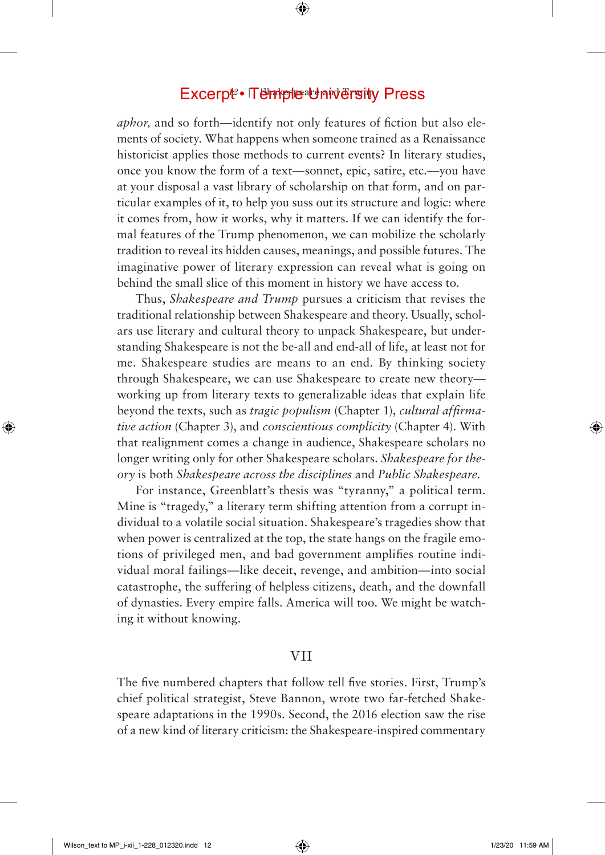## Excerpt<sup>e</sup> • T<del>ëmple</del> university Press

⊕

*aphor,* and so forth—identify not only features of fiction but also elements of society. What happens when someone trained as a Renaissance historicist applies those methods to current events? In literary studies, once you know the form of a text—sonnet, epic, satire, etc.—you have at your disposal a vast library of scholarship on that form, and on particular examples of it, to help you suss out its structure and logic: where it comes from, how it works, why it matters. If we can identify the formal features of the Trump phenomenon, we can mobilize the scholarly tradition to reveal its hidden causes, meanings, and possible futures. The imaginative power of literary expression can reveal what is going on behind the small slice of this moment in history we have access to.

Thus, *Shakespeare and Trump* pursues a criticism that revises the traditional relationship between Shakespeare and theory. Usually, scholars use literary and cultural theory to unpack Shakespeare, but understanding Shakespeare is not the be-all and end-all of life, at least not for me. Shakespeare studies are means to an end. By thinking society through Shakespeare, we can use Shakespeare to create new theory working up from literary texts to generalizable ideas that explain life beyond the texts, such as *tragic populism* (Chapter 1), *cultural affirmative action* (Chapter 3), and *conscientious complicity* (Chapter 4). With that realignment comes a change in audience, Shakespeare scholars no longer writing only for other Shakespeare scholars. *Shakespeare for theory* is both *Shakespeare across the disciplines* and *Public Shakespeare*.

For instance, Greenblatt's thesis was "tyranny," a political term. Mine is "tragedy," a literary term shifting attention from a corrupt individual to a volatile social situation. Shakespeare's tragedies show that when power is centralized at the top, the state hangs on the fragile emotions of privileged men, and bad government amplifies routine individual moral failings—like deceit, revenge, and ambition—into social catastrophe, the suffering of helpless citizens, death, and the downfall of dynasties. Every empire falls. America will too. We might be watching it without knowing.

#### VII

The five numbered chapters that follow tell five stories. First, Trump's chief political strategist, Steve Bannon, wrote two far-fetched Shakespeare adaptations in the 1990s. Second, the 2016 election saw the rise of a new kind of literary criticism: the Shakespeare-inspired commentary

⊕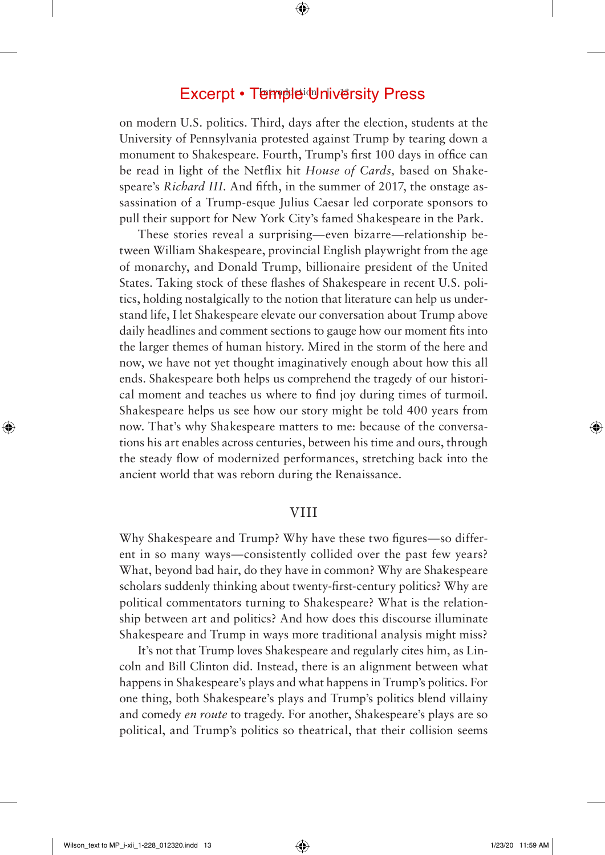#### <u> Excerpt • Templeվաniversity Press</u>

 $\bigoplus$ 

on modern U.S. politics. Third, days after the election, students at the University of Pennsylvania protested against Trump by tearing down a monument to Shakespeare. Fourth, Trump's first 100 days in office can be read in light of the Netflix hit *House of Cards,* based on Shakespeare's *Richard III.* And fifth, in the summer of 2017, the onstage assassination of a Trump-esque Julius Caesar led corporate sponsors to pull their support for New York City's famed Shakespeare in the Park.

These stories reveal a surprising—even bizarre—relationship between William Shakespeare, provincial English playwright from the age of monarchy, and Donald Trump, billionaire president of the United States. Taking stock of these flashes of Shakespeare in recent U.S. politics, holding nostalgically to the notion that literature can help us understand life, I let Shakespeare elevate our conversation about Trump above daily headlines and comment sections to gauge how our moment fits into the larger themes of human history. Mired in the storm of the here and now, we have not yet thought imaginatively enough about how this all ends. Shakespeare both helps us comprehend the tragedy of our historical moment and teaches us where to find joy during times of turmoil. Shakespeare helps us see how our story might be told 400 years from now. That's why Shakespeare matters to me: because of the conversations his art enables across centuries, between his time and ours, through the steady flow of modernized performances, stretching back into the ancient world that was reborn during the Renaissance.

#### VIII

Why Shakespeare and Trump? Why have these two figures—so different in so many ways—consistently collided over the past few years? What, beyond bad hair, do they have in common? Why are Shakespeare scholars suddenly thinking about twenty-first-century politics? Why are political commentators turning to Shakespeare? What is the relationship between art and politics? And how does this discourse illuminate Shakespeare and Trump in ways more traditional analysis might miss?

It's not that Trump loves Shakespeare and regularly cites him, as Lincoln and Bill Clinton did. Instead, there is an alignment between what happens in Shakespeare's plays and what happens in Trump's politics. For one thing, both Shakespeare's plays and Trump's politics blend villainy and comedy *en route* to tragedy. For another, Shakespeare's plays are so political, and Trump's politics so theatrical, that their collision seems

Wilson\_text to MP\_i-xii\_1-228\_012320.indd 13 1/23/20 11:59 AM

⊕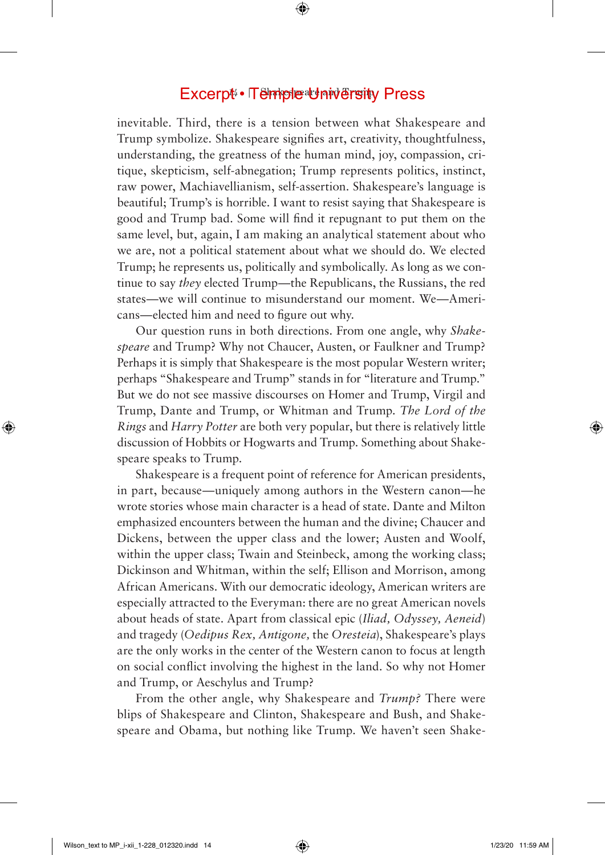#### Excerpt<sup></sup> • T<del>ëmple</del>adnivërsity Press

 $\bigoplus$ 

inevitable. Third, there is a tension between what Shakespeare and Trump symbolize. Shakespeare signifies art, creativity, thoughtfulness, understanding, the greatness of the human mind, joy, compassion, critique, skepticism, self-abnegation; Trump represents politics, instinct, raw power, Machiavellianism, self-assertion. Shakespeare's language is beautiful; Trump's is horrible. I want to resist saying that Shakespeare is good and Trump bad. Some will find it repugnant to put them on the same level, but, again, I am making an analytical statement about who we are, not a political statement about what we should do. We elected Trump; he represents us, politically and symbolically. As long as we continue to say *they* elected Trump—the Republicans, the Russians, the red states—we will continue to misunderstand our moment. We—Americans—elected him and need to figure out why.

Our question runs in both directions. From one angle, why *Shakespeare* and Trump? Why not Chaucer, Austen, or Faulkner and Trump? Perhaps it is simply that Shakespeare is the most popular Western writer; perhaps "Shakespeare and Trump" stands in for "literature and Trump." But we do not see massive discourses on Homer and Trump, Virgil and Trump, Dante and Trump, or Whitman and Trump. *The Lord of the Rings* and *Harry Potter* are both very popular, but there is relatively little discussion of Hobbits or Hogwarts and Trump. Something about Shakespeare speaks to Trump.

Shakespeare is a frequent point of reference for American presidents, in part, because—uniquely among authors in the Western canon—he wrote stories whose main character is a head of state. Dante and Milton emphasized encounters between the human and the divine; Chaucer and Dickens, between the upper class and the lower; Austen and Woolf, within the upper class; Twain and Steinbeck, among the working class; Dickinson and Whitman, within the self; Ellison and Morrison, among African Americans. With our democratic ideology, American writers are especially attracted to the Everyman: there are no great American novels about heads of state. Apart from classical epic (*Iliad, Odyssey, Aeneid*) and tragedy (*Oedipus Rex, Antigone,* the *Oresteia*), Shakespeare's plays are the only works in the center of the Western canon to focus at length on social conflict involving the highest in the land. So why not Homer and Trump, or Aeschylus and Trump?

From the other angle, why Shakespeare and *Trump?* There were blips of Shakespeare and Clinton, Shakespeare and Bush, and Shakespeare and Obama, but nothing like Trump. We haven't seen Shake-

⊕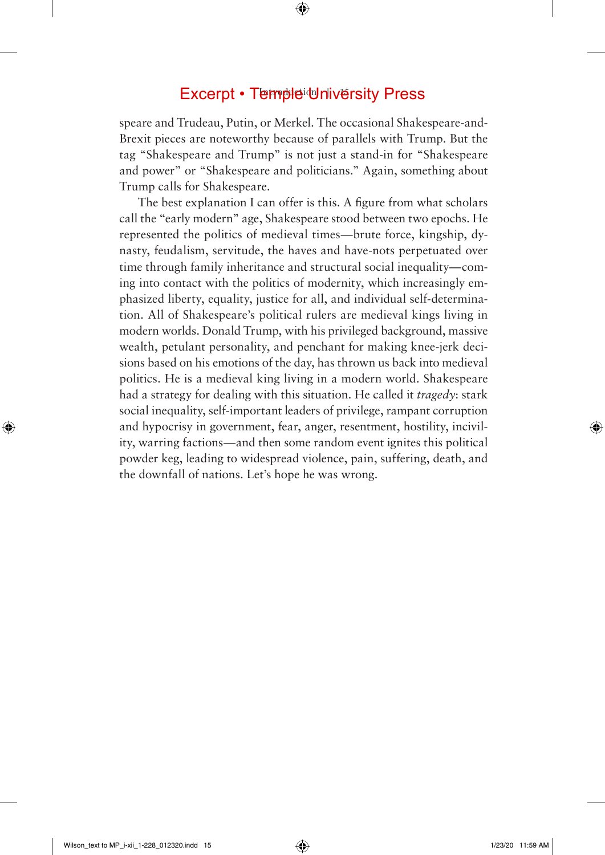### <u>Excerpt • Templeiመniversity Press</u>

 $\bigoplus$ 

speare and Trudeau, Putin, or Merkel. The occasional Shakespeare-and-Brexit pieces are noteworthy because of parallels with Trump. But the tag "Shakespeare and Trump" is not just a stand-in for "Shakespeare and power" or "Shakespeare and politicians." Again, something about Trump calls for Shakespeare.

The best explanation I can offer is this. A figure from what scholars call the "early modern" age, Shakespeare stood between two epochs. He represented the politics of medieval times—brute force, kingship, dynasty, feudalism, servitude, the haves and have-nots perpetuated over time through family inheritance and structural social inequality—coming into contact with the politics of modernity, which increasingly emphasized liberty, equality, justice for all, and individual self-determination. All of Shakespeare's political rulers are medieval kings living in modern worlds. Donald Trump, with his privileged background, massive wealth, petulant personality, and penchant for making knee-jerk decisions based on his emotions of the day, has thrown us back into medieval politics. He is a medieval king living in a modern world. Shakespeare had a strategy for dealing with this situation. He called it *tragedy*: stark social inequality, self-important leaders of privilege, rampant corruption and hypocrisy in government, fear, anger, resentment, hostility, incivility, warring factions—and then some random event ignites this political powder keg, leading to widespread violence, pain, suffering, death, and the downfall of nations. Let's hope he was wrong.

⊕